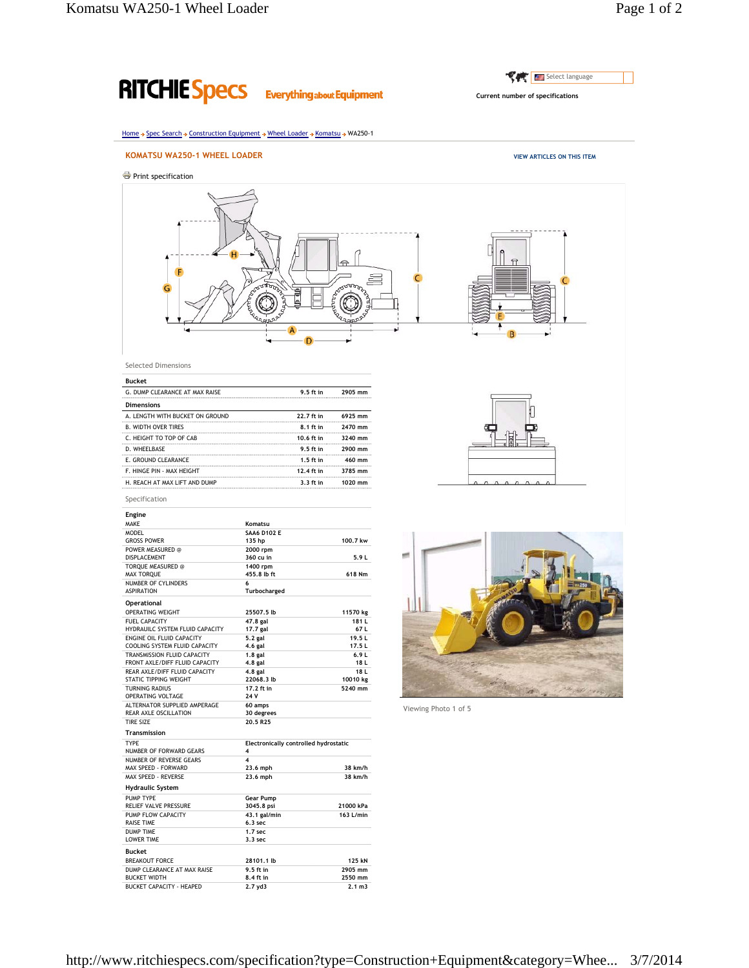## Select language **RITCHIE Specs Everything about Equipment Current number of specifications** Home → Spec Search → Construction Equipment → Wheel Loader → Komatsu → WA250-1 **KOMATSU WA250-1 WHEEL LOADER VIEW ARTICLES ON THIS ITEM** Print specification  $\overline{\mathbf{u}}$ conne ₿ C Selected Dimensions **Bucket** G. DUMP CLEARANCE AT MAX RAISE **9.5 ft in 2905 mm Dimensions** A. LENGTH WITH BUCKET ON GROUND **22.7 ft in 6925 mm** B. WIDTH OVER TIRES **8.1 ft in 2470 mm** C. HEIGHT TO TOP OF CAB **10.6 ft in 3240 mm** D. WHEELBASE **9.5 ft in 2900 mm** E. GROUND CLEARANCE **1.5 ft in 460 mm** F. HINGE PIN - MAX HEIGHT **12.4 ft in 3785 mm** H. REACH AT MAX LIFT AND DUMP **3.3 ft in 1020 mm** Specification **Engine** MAKE **Komatsu** MODEL **SAA6 D102 E** GROSS POWER **135 hp 100.7 kw** POWER MEASURED @ **2000 rpm**<br>POWER MEASURED @ 2000 **rpm**<br>DISPLACEMENT 360 cu in **et** DISPLACEMENT **360 cu in 5.9 L** TORQUE MEASURED @ **1400 rpm**<br>
MAX TORQUE 455.8 lb ft MAX TORQUE **455.8 lb ft 618 Nm** NUMBER OF CYLINDERS **6** ASPIRATION **Turbocharged Operational** OPERATING WEIGHT **25507.5 lb 11570 kg** FUEL CAPACITY **47.8 gal 181 L** HYDRAUILC SYSTEM FLUID CAPACITY **17.7 gal 67 L**<br>
ENGINE OIL FLUID CAPACITY 5.2 gal **19.5 L**<br>
COOLING SYSTEM FLUID CAPACITY 4.6 gal 17.5 L ENGINE OIL FLUID CAPACITY 5.2 gal 19.5 L<br>COOLING SYSTEM FLUID CAPACITY 4.6 gal 17.5 L COOLING SYSTEM FLUID CAPACITY **4.6 gal 17.5 L**<br>
17.5 **L**<br>
18.8 **gal** 17.5 **L**<br>
18.8 **gal** 17.5 **L** TRANSMISSION FLUID CAPACITY **1.8** gal<br>FRONT AXLE/DIFF FLUID CAPACITY 4.8 gal<br>REAR AXLE/DIFF FLUID CAPACITY 4.8 gal FRONT AXLE/DIFF FLUID CAPACITY **4.8 gal 18 L** REAR AXLE/DIFF FLUID CAPACITY **4.8 gal** 18 **L**<br>
STATIC TIPPING WEIGHT **22068.3 lb** 10010 kg **22068.3 lb** 10010 **kg**<br> **10010 <b>kg**<br> **17.2 ft in 17.2 ft in 17.2 ft in 17.2 ft** in TURNING RADIUS **17.2 f**<br>TURNING RADIUS **17.2 f**<br>OPERATING VOLTAGE 24 V OPERATING VOLTAGE **24 V** ALTERNATOR SUPPLIED AMPERAGE **60 amps** REAR AXLE OSCILLATION **30 degrees** Viewing Photo 1 of 5 TIRE SIZE **20.5 R25 Transmission** TYPE **Electronically controlled hydrostatic** NUMBER OF FORWARD GEARS **4** NUMBER OF REVERSE GEARS **4**<br>
MAX SPEED - FORWARD **23.6** mph MAX SPEED - FORWARD **23.6 mph 38 km/h**

MAX SPEED - REVERSE **23.6 mph 38 km/h**

RELIEF VALVE PRESSURE **3045.8 psi 21000** kPa<br>
PUMP FLOW CAPACITY **43.1** gal/min **163 L/min**<br>
RAISE TIME **6.3** sec 6.3 sec PUMP FLOW CAPACITY **43.1 gal/min 163 L/min**

BREAKOUT FORCE **28101.1 lb 125 kN** DUMP CLEARANCE AT MAX RAISE **9.5 ft in 2905 mm** BUCKET WIDTH **8.4 ft in 2550 mm** BUCKET CAPACITY - HEAPED **2.7 yd3 2.1 m3**

**Hydraulic System**

**Bucket**

PUMP TYPE **Gear Pump**<br>RELIEF VALVE PRESSURE **3045.8** psi

RAISE TIME 6.3 sec<br>
DUMP TIME 6.3 sec<br>
LOWER TIME 3.3 sec DUMP TIME **1.7 sec** LOWER TIME **3.3 sec**